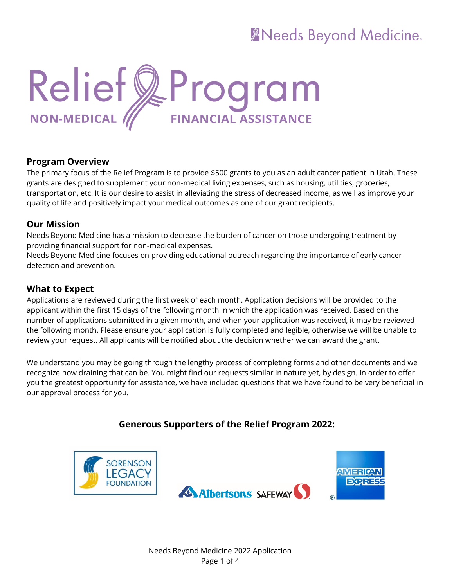## **ANeeds Beyond Medicine.**



#### **Program Overview**

The primary focus of the Relief Program is to provide \$500 grants to you as an adult cancer patient in Utah. These grants are designed to supplement your non-medical living expenses, such as housing, utilities, groceries, transportation, etc. It is our desire to assist in alleviating the stress of decreased income, as well as improve your quality of life and positively impact your medical outcomes as one of our grant recipients.

#### **Our Mission**

Needs Beyond Medicine has a mission to decrease the burden of cancer on those undergoing treatment by providing financial support for non-medical expenses.

Needs Beyond Medicine focuses on providing educational outreach regarding the importance of early cancer detection and prevention.

#### **What to Expect**

Applications are reviewed during the first week of each month. Application decisions will be provided to the applicant within the first 15 days of the following month in which the application was received. Based on the number of applications submitted in a given month, and when your application was received, it may be reviewed the following month. Please ensure your application is fully completed and legible, otherwise we will be unable to review your request. All applicants will be notified about the decision whether we can award the grant.

We understand you may be going through the lengthy process of completing forms and other documents and we recognize how draining that can be. You might find our requests similar in nature yet, by design. In order to offer you the greatest opportunity for assistance, we have included questions that we have found to be very beneficial in our approval process for you.

## **Generous Supporters of the Relief Program 2022:**

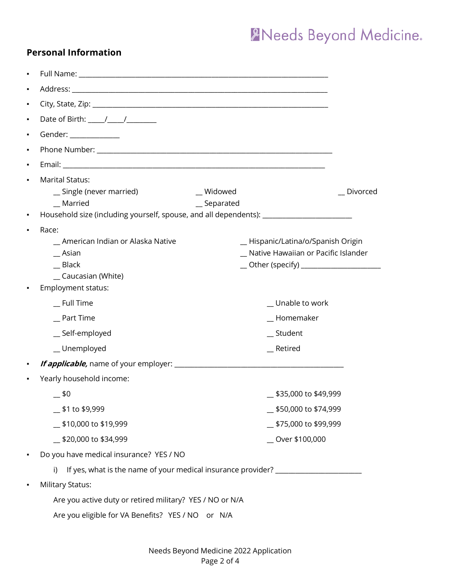# XNeeds Beyond Medicine.

| <b>Personal Information</b> |
|-----------------------------|
|-----------------------------|

| ٠              |                                                                                                                     |                                            |
|----------------|---------------------------------------------------------------------------------------------------------------------|--------------------------------------------|
| ٠              |                                                                                                                     |                                            |
| ٠              |                                                                                                                     |                                            |
| ٠              | Date of Birth: $\frac{1}{\sqrt{2}}$                                                                                 |                                            |
| ٠              | Gender: _______________                                                                                             |                                            |
| ٠              |                                                                                                                     |                                            |
| ٠              |                                                                                                                     |                                            |
| $\blacksquare$ | <b>Marital Status:</b>                                                                                              |                                            |
|                | _ Widowed<br>_ Single (never married)                                                                               | _Divorced                                  |
| ٠              | _ Married<br>_ Separated<br>Household size (including yourself, spouse, and all dependents): ______________________ |                                            |
| $\blacksquare$ | Race:                                                                                                               |                                            |
|                | _ American Indian or Alaska Native                                                                                  | _ Hispanic/Latina/o/Spanish Origin         |
|                | $\_$ Asian                                                                                                          | _ Native Hawaiian or Pacific Islander      |
|                | Black                                                                                                               | __ Other (specify) _______________________ |
|                | _ Caucasian (White)                                                                                                 |                                            |
|                | Employment status:                                                                                                  |                                            |
|                | $\_$ Full Time                                                                                                      | _Unable to work                            |
|                | _ Part Time                                                                                                         | _Homemaker                                 |
|                | _Self-employed                                                                                                      | _ Student                                  |
|                | _Unemployed                                                                                                         | _ Retired                                  |
|                |                                                                                                                     |                                            |
|                | Yearly household income:                                                                                            |                                            |
|                | _ \$0                                                                                                               | \$35,000 to \$49,999                       |
|                | $\_$ \$1 to \$9,999                                                                                                 | 550,000 to \$74,999                        |
|                | _\$10,000 to \$19,999                                                                                               | 575,000 to \$99,999                        |
|                | 520,000 to \$34,999                                                                                                 | _ Over \$100,000                           |
|                | Do you have medical insurance? YES / NO                                                                             |                                            |
|                | If yes, what is the name of your medical insurance provider?<br>i)                                                  |                                            |
|                | <b>Military Status:</b>                                                                                             |                                            |
|                | Are you active duty or retired military? YES / NO or N/A                                                            |                                            |
|                | Are you eligible for VA Benefits? YES / NO or N/A                                                                   |                                            |
|                |                                                                                                                     |                                            |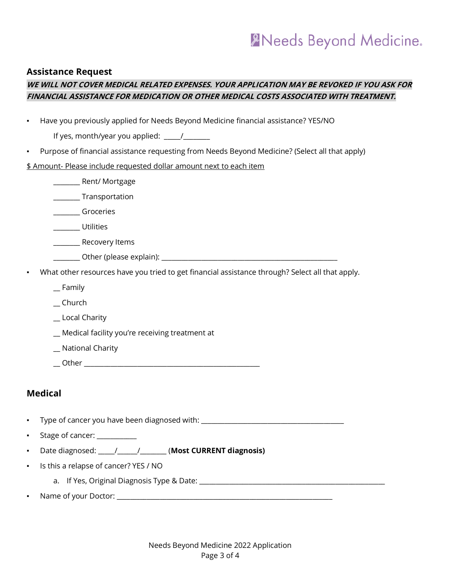## **ANeeds Beyond Medicine.**

#### **Assistance Request**

## **WE WILL NOT COVER MEDICAL RELATED EXPENSES. YOUR APPLICATION MAY BE REVOKED IF YOU ASK FOR FINANCIAL ASSISTANCE FOR MEDICATION OR OTHER MEDICAL COSTS ASSOCIATED WITH TREATMENT.**

|  |  |  | Have you previously applied for Needs Beyond Medicine financial assistance? YES/NO |
|--|--|--|------------------------------------------------------------------------------------|

If yes, month/year you applied:  $\frac{1}{2}$ 

Purpose of financial assistance requesting from Needs Beyond Medicine? (Select all that apply)

#### \$ Amount- Please include requested dollar amount next to each item

|   | Rent/Mortgage                                                                                   |
|---|-------------------------------------------------------------------------------------------------|
|   | Transportation                                                                                  |
|   | Groceries                                                                                       |
|   | <b>Utilities</b>                                                                                |
|   | Recovery Items                                                                                  |
|   | Other (please explain):                                                                         |
| ٠ | What other resources have you tried to get financial assistance through? Select all that apply. |
|   | $\_$ Family                                                                                     |
|   | Church                                                                                          |
|   | Local Charity                                                                                   |

\_\_ Medical facility you're receiving treatment at

- \_\_ National Charity
- \_\_ Other \_\_\_\_\_\_\_\_\_\_\_\_\_\_\_\_\_\_\_\_\_\_\_\_\_\_\_\_\_\_\_\_\_\_\_\_\_\_\_\_\_\_\_\_\_\_\_\_\_\_\_\_\_

## **Medical**

- Type of cancer you have been diagnosed with: \_\_\_\_\_\_\_\_\_\_\_\_\_\_\_\_\_\_\_\_\_\_\_\_\_\_\_\_\_\_\_\_\_\_\_
- Stage of cancer: \_\_\_\_\_\_\_\_\_\_\_\_
- Date diagnosed: \_\_\_\_\_/\_\_\_\_\_\_/\_\_\_\_\_\_\_\_ (**Most CURRENT diagnosis)**
- Is this a relapse of cancer? YES / NO
	- a. If Yes, Original Diagnosis Type & Date: \_\_\_\_\_\_\_\_\_\_\_\_\_\_\_\_\_\_\_\_\_\_\_\_\_\_\_\_\_\_\_\_\_\_\_\_\_\_\_\_\_\_\_\_\_\_\_\_\_\_\_\_\_\_\_\_
- Name of your Doctor: \_\_\_\_\_\_\_\_\_\_\_\_\_\_\_\_\_\_\_\_\_\_\_\_\_\_\_\_\_\_\_\_\_\_\_\_\_\_\_\_\_\_\_\_\_\_\_\_\_\_\_\_\_\_\_\_\_\_\_\_\_\_\_\_\_